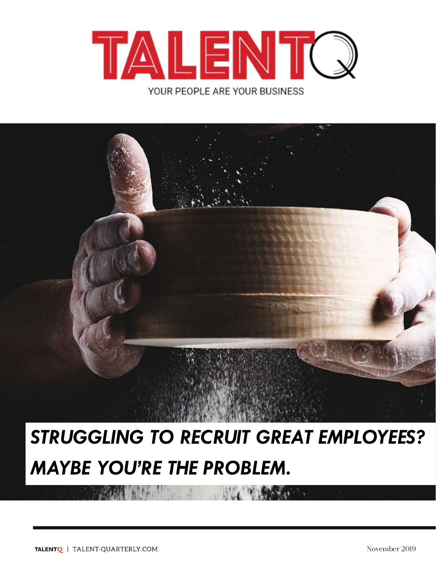



# STRUGGLING TO RECRUIT GREAT EMPLOYEES? MAYBE YOU'RE THE PROBLEM.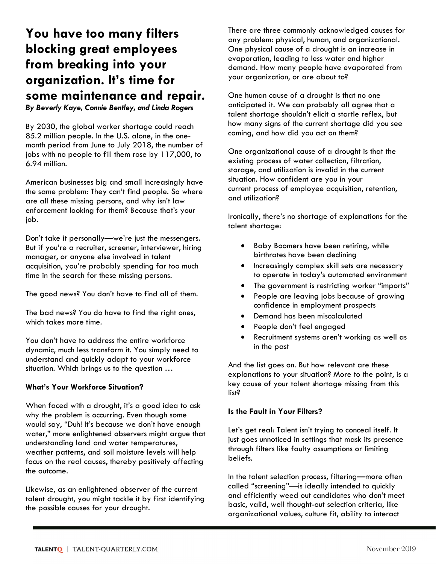# You have too many filters blocking great employees from breaking into your organization. It's time for some maintenance and repair.

By Beverly Kaye, Connie Bentley, and Linda Rogers

By 2030, the global worker shortage could reach 85.2 million people. In the U.S. alone, in the onemonth period from June to July 2018, the number of jobs with no people to fill them rose by 117,000, to 6.94 million.

American businesses big and small increasingly have the same problem: They can't find people. So where are all these missing persons, and why isn't law enforcement looking for them? Because that's your job.

Don't take it personally—we're just the messengers. But if you're a recruiter, screener, interviewer, hiring manager, or anyone else involved in talent acquisition, you're probably spending far too much time in the search for these missing persons.

The good news? You don't have to find all of them.

The bad news? You do have to find the right ones, which takes more time.

You don't have to address the entire workforce dynamic, much less transform it. You simply need to understand and quickly adapt to your workforce situation. Which brings us to the question …

#### What's Your Workforce Situation?

When faced with a drought, it's a good idea to ask why the problem is occurring. Even though some would say, "Duh! It's because we don't have enough water," more enlightened observers might argue that understanding land and water temperatures, weather patterns, and soil moisture levels will help focus on the real causes, thereby positively affecting the outcome.

Likewise, as an enlightened observer of the current talent drought, you might tackle it by first identifying the possible causes for your drought.

There are three commonly acknowledged causes for any problem: physical, human, and organizational. One physical cause of a drought is an increase in evaporation, leading to less water and higher demand. How many people have evaporated from your organization, or are about to?

One human cause of a drought is that no one anticipated it. We can probably all agree that a talent shortage shouldn't elicit a startle reflex, but how many signs of the current shortage did you see coming, and how did you act on them?

One organizational cause of a drought is that the existing process of water collection, filtration, storage, and utilization is invalid in the current situation. How confident are you in your current process of employee acquisition, retention, and utilization?

Ironically, there's no shortage of explanations for the talent shortage:

- **•** Baby Boomers have been retiring, while birthrates have been declining
- Increasingly complex skill sets are necessary to operate in today's automated environment
- The government is restricting worker "imports"
- People are leaving jobs because of growing confidence in employment prospects
- Demand has been miscalculated
- People don't feel engaged
- Recruitment systems aren't working as well as in the past

And the list goes on. But how relevant are these explanations to your situation? More to the point, is a key cause of your talent shortage missing from this list?

#### Is the Fault in Your Filters?

Let's get real: Talent isn't trying to conceal itself. It just goes unnoticed in settings that mask its presence through filters like faulty assumptions or limiting beliefs.

In the talent selection process, filtering—more often called "screening"—is ideally intended to quickly and efficiently weed out candidates who don't meet basic, valid, well thought-out selection criteria, like organizational values, culture fit, ability to interact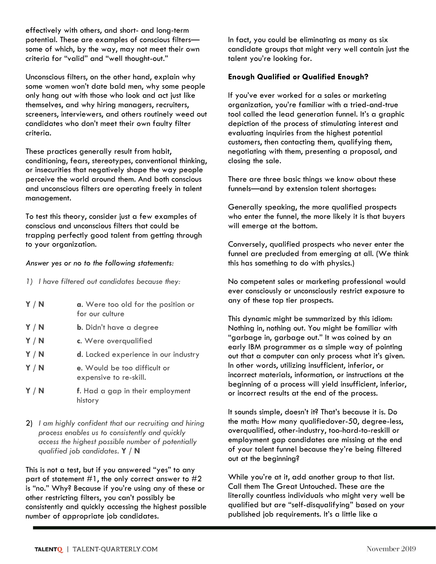effectively with others, and short- and long-term potential. These are examples of conscious filters some of which, by the way, may not meet their own criteria for "valid" and "well thought-out."

Unconscious filters, on the other hand, explain why some women won't date bald men, why some people only hang out with those who look and act just like themselves, and why hiring managers, recruiters, screeners, interviewers, and others routinely weed out candidates who don't meet their own faulty filter criteria.

These practices generally result from habit, conditioning, fears, stereotypes, conventional thinking, or insecurities that negatively shape the way people perceive the world around them. And both conscious and unconscious filters are operating freely in talent management.

To test this theory, consider just a few examples of conscious and unconscious filters that could be trapping perfectly good talent from getting through to your organization.

#### Answer yes or no to the following statements:

- 1) I have filtered out candidates because they:
- $Y/N$  a. Were too old for the position or for our culture  $Y / N$  b. Didn't have a degree Y / N c. Were overqualified Y / N d. Lacked experience in our industry
- Y / N e. Would be too difficult or expensive to re-skill.
- Y / N f. Had a gap in their employment history
- 2) I am highly confident that our recruiting and hiring process enables us to consistently and quickly access the highest possible number of potentially qualified job candidates. Y / N

This is not a test, but if you answered "yes" to any part of statement  $#1$ , the only correct answer to  $#2$ is "no." Why? Because if you're using any of these or other restricting filters, you can't possibly be consistently and quickly accessing the highest possible number of appropriate job candidates.

In fact, you could be eliminating as many as six candidate groups that might very well contain just the talent you're looking for.

### Enough Qualified or Qualified Enough?

If you've ever worked for a sales or marketing organization, you're familiar with a tried-and-true tool called the lead generation funnel. It's a graphic depiction of the process of stimulating interest and evaluating inquiries from the highest potential customers, then contacting them, qualifying them, negotiating with them, presenting a proposal, and closing the sale.

There are three basic things we know about these funnels—and by extension talent shortages:

Generally speaking, the more qualified prospects who enter the funnel, the more likely it is that buyers will emerge at the bottom.

Conversely, qualified prospects who never enter the funnel are precluded from emerging at all. (We think this has something to do with physics.)

No competent sales or marketing professional would ever consciously or unconsciously restrict exposure to any of these top tier prospects.

This dynamic might be summarized by this idiom: Nothing in, nothing out. You might be familiar with "garbage in, garbage out." It was coined by an early IBM programmer as a simple way of pointing out that a computer can only process what it's given. In other words, utilizing insufficient, inferior, or incorrect materials, information, or instructions at the beginning of a process will yield insufficient, inferior, or incorrect results at the end of the process.

It sounds simple, doesn't it? That's because it is. Do the math: How many qualifiedover-50, degree-less, overqualified, other-industry, too-hard-to-reskill or employment gap candidates are missing at the end of your talent funnel because they're being filtered out at the beginning?

While you're at it, add another group to that list. Call them The Great Untouched. These are the literally countless individuals who might very well be qualified but are "self-disqualifying" based on your published job requirements. It's a little like a